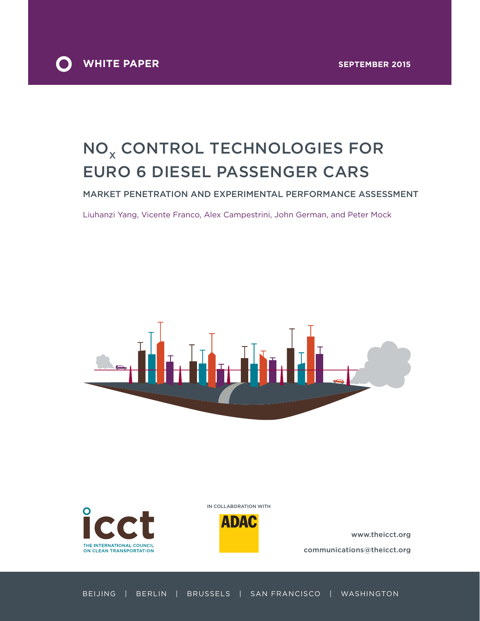

# NO<sub>x</sub> CONTROL TECHNOLOGIES FOR Euro 6 Diesel passenger cars

Market penetration and experimental performance assessment

Liuhanzi Yang, Vicente Franco, Alex Campestrini, John German, and Peter Mock





In collaboration with



www.theicct.org communications@theicct.org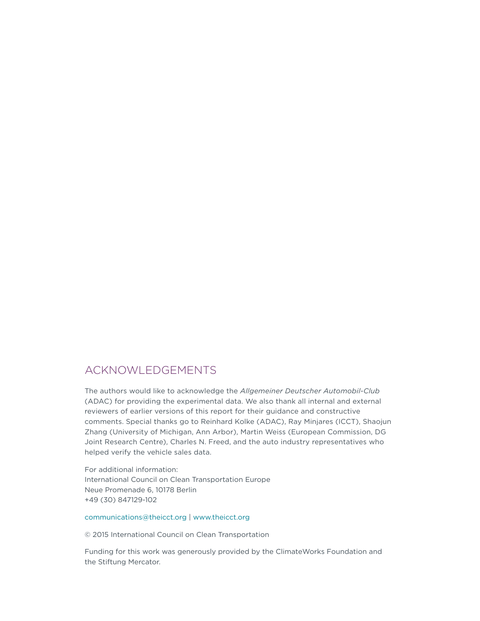### Acknowledgements

The authors would like to acknowledge the *Allgemeiner Deutscher Automobil-Club* (ADAC) for providing the experimental data. We also thank all internal and external reviewers of earlier versions of this report for their guidance and constructive comments. Special thanks go to Reinhard Kolke (ADAC), Ray Minjares (ICCT), Shaojun Zhang (University of Michigan, Ann Arbor), Martin Weiss (European Commission, DG Joint Research Centre), Charles N. Freed, and the auto industry representatives who helped verify the vehicle sales data.

For additional information: International Council on Clean Transportation Europe Neue Promenade 6, 10178 Berlin +49 (30) 847129-102

#### [communications@theicct.org](mailto:communications%40theicct.org?subject=) |<www.theicct.org>

© 2015 International Council on Clean Transportation

Funding for this work was generously provided by the ClimateWorks Foundation and the Stiftung Mercator.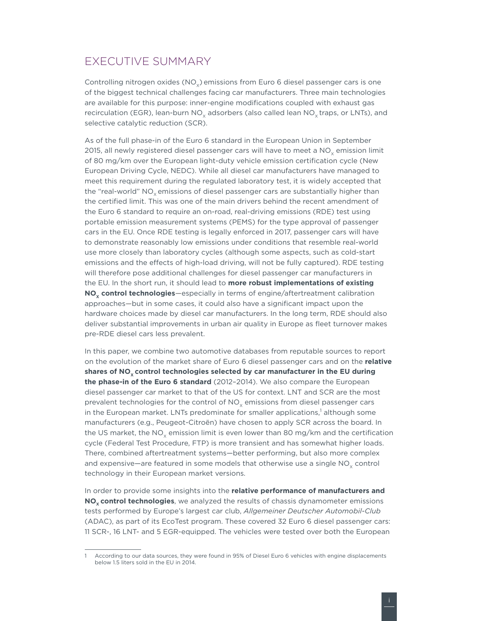### <span id="page-2-0"></span>Executive Summary

Controlling nitrogen oxides  $(NO<sub>v</sub>)$  emissions from Euro 6 diesel passenger cars is one of the biggest technical challenges facing car manufacturers. Three main technologies are available for this purpose: inner-engine modifications coupled with exhaust gas recirculation (EGR), lean-burn NO<sub>v</sub> adsorbers (also called lean NO<sub>v</sub> traps, or LNTs), and selective catalytic reduction (SCR).

As of the full phase-in of the Euro 6 standard in the European Union in September 2015, all newly registered diesel passenger cars will have to meet a  $NO<sub>x</sub>$  emission limit of 80 mg/km over the European light-duty vehicle emission certification cycle (New European Driving Cycle, NEDC). While all diesel car manufacturers have managed to meet this requirement during the regulated laboratory test, it is widely accepted that the "real-world" NO<sub>v</sub> emissions of diesel passenger cars are substantially higher than the certified limit. This was one of the main drivers behind the recent amendment of the Euro 6 standard to require an on-road, real-driving emissions (RDE) test using portable emission measurement systems (PEMS) for the type approval of passenger cars in the EU. Once RDE testing is legally enforced in 2017, passenger cars will have to demonstrate reasonably low emissions under conditions that resemble real-world use more closely than laboratory cycles (although some aspects, such as cold-start emissions and the effects of high-load driving, will not be fully captured). RDE testing will therefore pose additional challenges for diesel passenger car manufacturers in the EU. In the short run, it should lead to **more robust implementations of existing NO<sub>y</sub> control technologies**—especially in terms of engine/aftertreatment calibration approaches—but in some cases, it could also have a significant impact upon the hardware choices made by diesel car manufacturers. In the long term, RDE should also deliver substantial improvements in urban air quality in Europe as fleet turnover makes pre-RDE diesel cars less prevalent.

In this paper, we combine two automotive databases from reputable sources to report on the evolution of the market share of Euro 6 diesel passenger cars and on the **relative**  shares of NO<sub>v</sub> control technologies selected by car manufacturer in the EU during **the phase-in of the Euro 6 standard** (2012–2014). We also compare the European diesel passenger car market to that of the US for context. LNT and SCR are the most prevalent technologies for the control of  $NO<sub>v</sub>$  emissions from diesel passenger cars in the European market. LNTs predominate for smaller applications,<sup>1</sup> although some manufacturers (e.g., Peugeot-Citroën) have chosen to apply SCR across the board. In the US market, the NO<sub>v</sub> emission limit is even lower than 80 mg/km and the certification cycle (Federal Test Procedure, FTP) is more transient and has somewhat higher loads. There, combined aftertreatment systems—better performing, but also more complex and expensive—are featured in some models that otherwise use a single  $NO<sub>v</sub>$  control technology in their European market versions.

In order to provide some insights into the **relative performance of manufacturers and**  NO<sub>y</sub> control technologies, we analyzed the results of chassis dynamometer emissions tests performed by Europe's largest car club, *Allgemeiner Deutscher Automobil-Club* (ADAC), as part of its EcoTest program. These covered 32 Euro 6 diesel passenger cars: 11 SCR-, 16 LNT- and 5 EGR-equipped. The vehicles were tested over both the European

<sup>1</sup> According to our data sources, they were found in 95% of Diesel Euro 6 vehicles with engine displacements below 1.5 liters sold in the EU in 2014.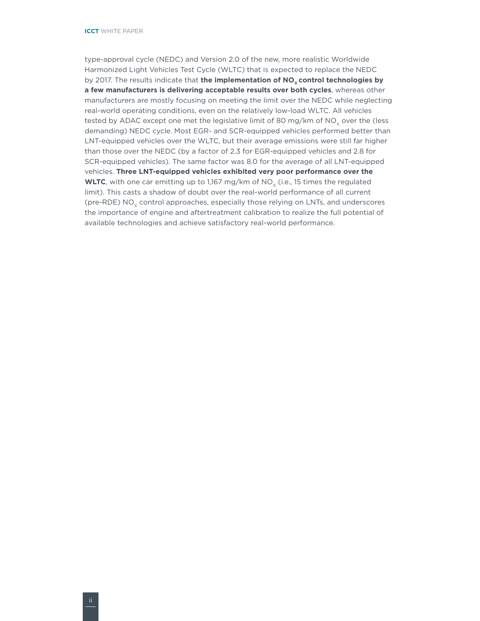type-approval cycle (NEDC) and Version 2.0 of the new, more realistic Worldwide Harmonized Light Vehicles Test Cycle (WLTC) that is expected to replace the NEDC by 2017. The results indicate that the implementation of NO<sub>y</sub> control technologies by **a few manufacturers is delivering acceptable results over both cycles**, whereas other manufacturers are mostly focusing on meeting the limit over the NEDC while neglecting real-world operating conditions, even on the relatively low-load WLTC. All vehicles tested by ADAC except one met the legislative limit of 80 mg/km of  $NO<sub>x</sub>$  over the (less demanding) NEDC cycle. Most EGR- and SCR-equipped vehicles performed better than LNT-equipped vehicles over the WLTC, but their average emissions were still far higher than those over the NEDC (by a factor of 2.3 for EGR-equipped vehicles and 2.8 for SCR-equipped vehicles). The same factor was 8.0 for the average of all LNT-equipped vehicles. **Three LNT-equipped vehicles exhibited very poor performance over the WLTC**, with one car emitting up to 1,167 mg/km of  $NO<sub>y</sub>$  (i.e., 15 times the regulated limit). This casts a shadow of doubt over the real-world performance of all current (pre-RDE)  $NO<sub>x</sub>$  control approaches, especially those relying on LNTs, and underscores the importance of engine and aftertreatment calibration to realize the full potential of available technologies and achieve satisfactory real-world performance.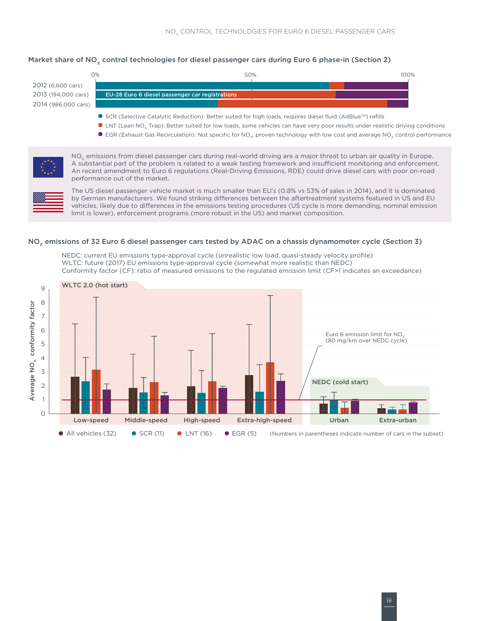#### Market share of NO<sub>y</sub> control technologies for diesel passenger cars during Euro 6 phase-in (Section 2)

2012 (6,600 cars) 2013 (194,000 cars) 2014 (986,000 cars)



- SCR (Selective Catalytic Reduction): Better suited for high loads, requires diesel fluid (AdBlue™) refills
- INT (Lean NO<sub>x</sub> Trap): Better suited for low loads, some vehicles can have very poor results under realistic driving conditions
- EGR (Exhaust Gas Recirculation): Not specific for NO<sub>y</sub>, proven technology with low cost and average NO<sub>y</sub> control performance



 $NO<sub>x</sub>$  emissions from diesel passenger cars during real-world driving are a major threat to urban air quality in Europe. A substantial part of the problem is related to a weak testing framework and insufficient monitoring and enforcement. An recent amendment to Euro 6 regulations (Real-Driving Emissions, RDE) could drive diesel cars with poor on-road performance out of the market.



The US diesel passenger vehicle market is much smaller than EU's (0.8% vs 53% of sales in 2014), and it is dominated by German manufacturers. We found striking differences between the aftertreatment systems featured in US and EU vehicles, likely due to differences in the emissions testing procedures (US cycle is more demanding, nominal emission limit is lower), enforcement programs (more robust in the US) and market composition.

#### $NO<sub>x</sub>$  emissions of 32 Euro 6 diesel passenger cars tested by ADAC on a chassis dynamometer cycle (Section 3)

NEDC: current EU emissions type-approval cycle (unrealistic low load, quasi-steady velocity profile) WLTC: future (2017) EU emissions type-approval cycle (somewhat more realistic than NEDC) Conformity factor (CF): ratio of measured emissions to the regulated emission limit (CF>1 indicates an exceedance)

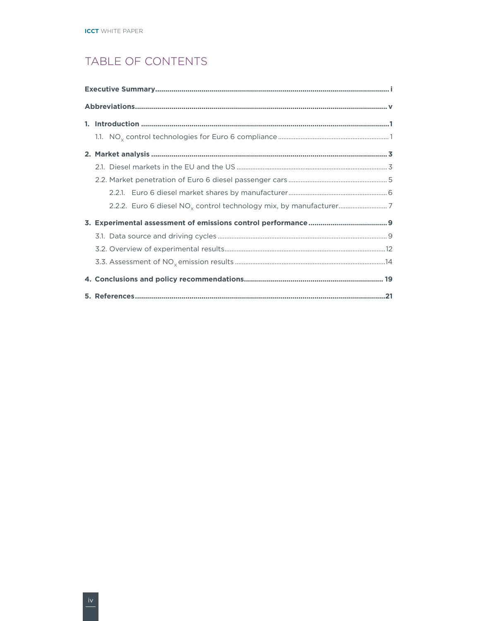# TABLE OF CONTENTS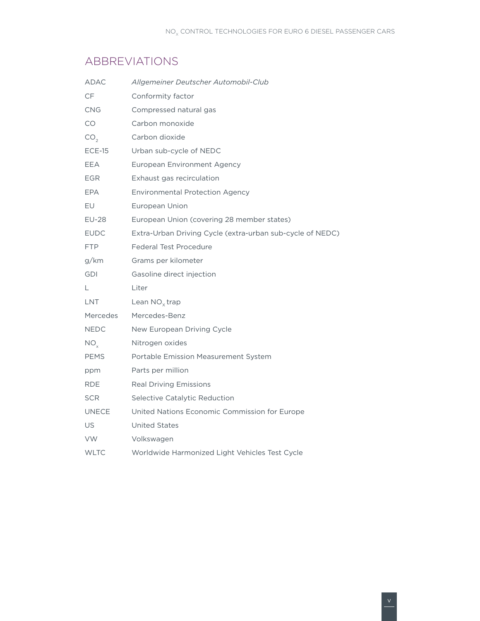### <span id="page-6-0"></span>**ABBREVIATIONS**

| ADAC            | Allgemeiner Deutscher Automobil-Club                      |
|-----------------|-----------------------------------------------------------|
| CF              | Conformity factor                                         |
| <b>CNG</b>      | Compressed natural gas                                    |
| CO              | Carbon monoxide                                           |
| CO <sub>2</sub> | Carbon dioxide                                            |
| $ECE-15$        | Urban sub-cycle of NEDC                                   |
| EEA             | <b>European Environment Agency</b>                        |
| <b>EGR</b>      | Exhaust gas recirculation                                 |
| <b>EPA</b>      | <b>Environmental Protection Agency</b>                    |
| EU              | European Union                                            |
| <b>EU-28</b>    | European Union (covering 28 member states)                |
| <b>EUDC</b>     | Extra-Urban Driving Cycle (extra-urban sub-cycle of NEDC) |
| <b>FTP</b>      | <b>Federal Test Procedure</b>                             |
| g/km            | Grams per kilometer                                       |
| <b>GDI</b>      | Gasoline direct injection                                 |
| L.              | Liter                                                     |
| LNT             | Lean $NO_{x}$ trap                                        |
| Mercedes        | Mercedes-Benz                                             |
| <b>NEDC</b>     | New European Driving Cycle                                |
| $NO_{v}$        | Nitrogen oxides                                           |
| <b>PEMS</b>     | Portable Emission Measurement System                      |
| ppm             | Parts per million                                         |
| RDE             | <b>Real Driving Emissions</b>                             |
| <b>SCR</b>      | Selective Catalytic Reduction                             |
| <b>UNECE</b>    | United Nations Economic Commission for Europe             |
| US              | <b>United States</b>                                      |
| <b>VW</b>       | Volkswagen                                                |
| <b>WLTC</b>     | Worldwide Harmonized Light Vehicles Test Cycle            |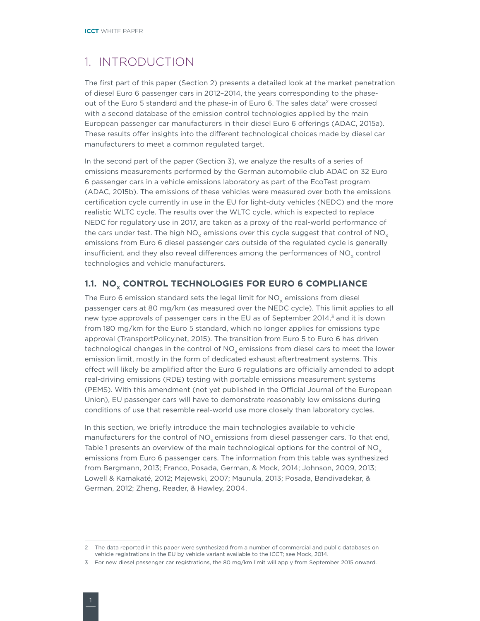### <span id="page-7-2"></span><span id="page-7-0"></span>1. Introduction

The first part of this paper (Section 2) presents a detailed look at the market penetration of diesel Euro 6 passenger cars in 2012–2014, the years corresponding to the phaseout of the Euro 5 standard and the phase-in of Euro 6. The sales data<sup>2</sup> were crossed with a second database of the emission control technologies applied by the main European passenger car manufacturers in their diesel Euro 6 offerings (ADAC, 2015a). These results offer insights into the different technological choices made by diesel car manufacturers to meet a common regulated target.

In the second part of the paper (Section 3), we analyze the results of a series of emissions measurements performed by the German automobile club ADAC on 32 Euro 6 passenger cars in a vehicle emissions laboratory as part of the EcoTest program (ADAC, 2015b). The emissions of these vehicles were measured over both the emissions certification cycle currently in use in the EU for light-duty vehicles (NEDC) and the more realistic WLTC cycle. The results over the WLTC cycle, which is expected to replace NEDC for regulatory use in 2017, are taken as a proxy of the real-world performance of the cars under test. The high NO<sub>y</sub> emissions over this cycle suggest that control of NO<sub>y</sub> emissions from Euro 6 diesel passenger cars outside of the regulated cycle is generally insufficient, and they also reveal differences among the performances of  $NO<sub>x</sub>$  control technologies and vehicle manufacturers.

#### <span id="page-7-1"></span>1.1. NO<sub>x</sub> CONTROL TECHNOLOGIES FOR EURO 6 COMPLIANCE

The Euro 6 emission standard sets the legal limit for  $NO<sub>v</sub>$  emissions from diesel passenger cars at 80 mg/km (as measured over the NEDC cycle). This limit applies to all new type approvals of passenger cars in the EU as of September 2014, $3$  and it is down from 180 mg/km for the Euro 5 standard, which no longer applies for emissions type approval (TransportPolicy.net, 2015). The transition from Euro 5 to Euro 6 has driven technological changes in the control of  $NO<sub>x</sub>$  emissions from diesel cars to meet the lower emission limit, mostly in the form of dedicated exhaust aftertreatment systems. This effect will likely be amplified after the Euro 6 regulations are officially amended to adopt real-driving emissions (RDE) testing with portable emissions measurement systems (PEMS). With this amendment (not yet published in the Official Journal of the European Union), EU passenger cars will have to demonstrate reasonably low emissions during conditions of use that resemble real-world use more closely than laboratory cycles.

In this section, we briefly introduce the main technologies available to vehicle manufacturers for the control of  $NO<sub>v</sub>$  emissions from diesel passenger cars. To that end, Table 1 presents an overview of the main technological options for the control of  $NO_{\rm v}$ emissions from Euro 6 passenger cars. The information from this table was synthesized from Bergmann, 2013; Franco, Posada, German, & Mock, 2014; Johnson, 2009, 2013; Lowell & Kamakaté, 2012; Majewski, 2007; Maunula, 2013; Posada, Bandivadekar, & German, 2012; Zheng, Reader, & Hawley, 2004.

<sup>2</sup> The data reported in this paper were synthesized from a number of commercial and public databases on vehicle registrations in the EU by vehicle variant available to the ICCT; see Mock, 2014.

<sup>3</sup> For new diesel passenger car registrations, the 80 mg/km limit will apply from September 2015 onward.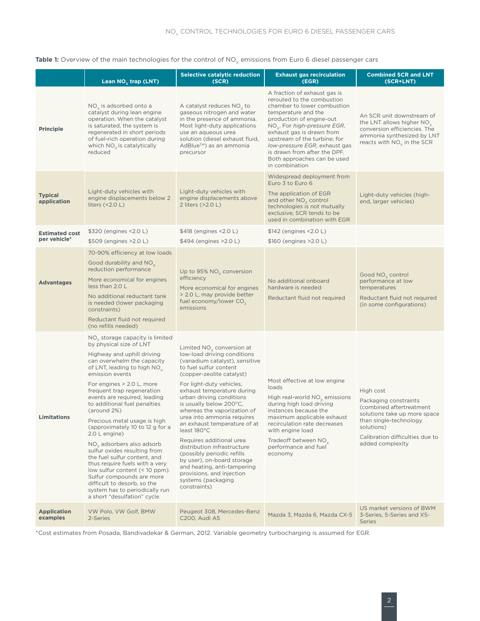#### Table 1: Overview of the main technologies for the control of NO<sub>x</sub> emissions from Euro 6 diesel passenger cars

|                                | Lean $NOx$ trap (LNT)                                                                                                                                                                                                                                                                                                                                                                                                                                                                                                                                                                                                                                                                                                     | <b>Selective catalytic reduction</b><br>(SCR)                                                                                                                                                                                                                                                                                                                                                                                                                                                                                                                                                             | <b>Exhaust gas recirculation</b><br>(EGR)                                                                                                                                                                                                                                                                                                                     | <b>Combined SCR and LNT</b><br>(SCR+LNT)                                                                                                                                                      |
|--------------------------------|---------------------------------------------------------------------------------------------------------------------------------------------------------------------------------------------------------------------------------------------------------------------------------------------------------------------------------------------------------------------------------------------------------------------------------------------------------------------------------------------------------------------------------------------------------------------------------------------------------------------------------------------------------------------------------------------------------------------------|-----------------------------------------------------------------------------------------------------------------------------------------------------------------------------------------------------------------------------------------------------------------------------------------------------------------------------------------------------------------------------------------------------------------------------------------------------------------------------------------------------------------------------------------------------------------------------------------------------------|---------------------------------------------------------------------------------------------------------------------------------------------------------------------------------------------------------------------------------------------------------------------------------------------------------------------------------------------------------------|-----------------------------------------------------------------------------------------------------------------------------------------------------------------------------------------------|
| <b>Principle</b>               | $NOx$ is adsorbed onto a<br>catalyst during lean engine<br>operation. When the catalyst<br>is saturated, the system is<br>regenerated in short periods<br>of fuel-rich operation during<br>which $NOx$ is catalytically<br>reduced                                                                                                                                                                                                                                                                                                                                                                                                                                                                                        | A catalyst reduces $NOx$ to<br>gaseous nitrogen and water<br>in the presence of ammonia.<br>Most light-duty applications<br>use an aqueous urea<br>solution (diesel exhaust fluid,<br>AdBlue <sup>™</sup> ) as an ammonia<br>precursor                                                                                                                                                                                                                                                                                                                                                                    | A fraction of exhaust gas is<br>rerouted to the combustion<br>chamber to lower combustion<br>temperature and the<br>production of engine-out<br>$NOx$ . For high-pressure EGR,<br>exhaust gas is drawn from<br>upstream of the turbine; for<br>low-pressure EGR, exhaust gas<br>is drawn from after the DPF.<br>Both approaches can be used<br>in combination | An SCR unit downstream of<br>the LNT allows higher $NOv$<br>conversion efficiencies. The<br>ammonia synthesized by LNT<br>reacts with $NO_x$ in the SCR                                       |
| <b>Typical</b><br>application  | Light-duty vehicles with<br>engine displacements below 2<br>liters $($ < 2.0 L)                                                                                                                                                                                                                                                                                                                                                                                                                                                                                                                                                                                                                                           | Light-duty vehicles with<br>engine displacements above<br>2 liters (>2.0 L)                                                                                                                                                                                                                                                                                                                                                                                                                                                                                                                               | Widespread deployment from<br>Euro 3 to Euro 6<br>The application of EGR<br>and other $NO_{x}$ control<br>technologies is not mutually<br>exclusive; SCR tends to be<br>used in combination with EGR                                                                                                                                                          | Light-duty vehicles (high-<br>end, larger vehicles)                                                                                                                                           |
| <b>Estimated cost</b>          | \$320 (engines <2.0 L)                                                                                                                                                                                                                                                                                                                                                                                                                                                                                                                                                                                                                                                                                                    | \$418 (engines <2.0 L)                                                                                                                                                                                                                                                                                                                                                                                                                                                                                                                                                                                    | \$142 (engines <2.0 L)                                                                                                                                                                                                                                                                                                                                        |                                                                                                                                                                                               |
| per vehicle*                   | \$509 (engines > 2.0 L)                                                                                                                                                                                                                                                                                                                                                                                                                                                                                                                                                                                                                                                                                                   | \$494 (engines > 2.0 L)                                                                                                                                                                                                                                                                                                                                                                                                                                                                                                                                                                                   | \$160 (engines > 2.0 L)                                                                                                                                                                                                                                                                                                                                       |                                                                                                                                                                                               |
| <b>Advantages</b>              | 70-90% efficiency at low loads<br>Good durability and $NO_{x}$<br>reduction performance<br>More economical for engines<br>less than 2.0 L<br>No additional reductant tank<br>is needed (lower packaging<br>constraints)<br>Reductant fluid not required<br>(no refills needed)                                                                                                                                                                                                                                                                                                                                                                                                                                            | Up to 95% $NO_x$ conversion<br>efficiency<br>More economical for engines<br>> 2.0 L, may provide better<br>fuel economy/lower $CO2$<br>emissions                                                                                                                                                                                                                                                                                                                                                                                                                                                          | No additional onboard<br>hardware is needed<br>Reductant fluid not required                                                                                                                                                                                                                                                                                   | Good $NO_x$ control<br>performance at low<br>temperatures<br>Reductant fluid not required<br>(in some configurations)                                                                         |
| Limitations                    | $NOx$ storage capacity is limited<br>by physical size of LNT<br>Highway and uphill driving<br>can overwhelm the capacity<br>of LNT, leading to high $NO_{v}$<br>emission events<br>For engines > 2.0 L, more<br>frequent trap regeneration<br>events are required, leading<br>to additional fuel penalties<br>(around 2%)<br>Precious metal usage is high<br>(approximately 10 to 12 g for a<br>$2.0 L$ engine)<br>NO <sub>v</sub> adsorbers also adsorb<br>sulfur oxides resulting from<br>the fuel sulfur content, and<br>thus require fuels with a very<br>low sulfur content (< 10 ppm).<br>Sulfur compounds are more<br>difficult to desorb, so the<br>system has to periodically run<br>a short "desulfation" cycle | Limited $NOx$ conversion at<br>low-load driving conditions<br>(vanadium catalyst), sensitive<br>to fuel sulfur content<br>(copper-zeolite catalyst)<br>For light-duty vehicles,<br>exhaust temperature during<br>urban driving conditions<br>is usually below 200°C,<br>whereas the vaporization of<br>urea into ammonia requires<br>an exhaust temperature of at<br>least 180°C<br>Requires additional urea<br>distribution infrastructure<br>(possibly periodic refills<br>by user), on-board storage<br>and heating, anti-tampering<br>provisions, and injection<br>systems (packaging<br>constraints) | Most effective at low engine<br>loads<br>High real-world $NOx$ emissions<br>during high load driving<br>instances because the<br>maximum applicable exhaust<br>recirculation rate decreases<br>with engine load<br>Tradeoff between NO <sub>v</sub><br>performance and fuel<br>economy                                                                        | High cost<br>Packaging constraints<br>(combined aftertreatment<br>solutions take up more space<br>than single-technology<br>solutions)<br>Calibration difficulties due to<br>added complexity |
| <b>Application</b><br>examples | VW Polo, VW Golf, BMW<br>2-Series                                                                                                                                                                                                                                                                                                                                                                                                                                                                                                                                                                                                                                                                                         | Peugeot 308, Mercedes-Benz<br><b>C200, Audi A5</b>                                                                                                                                                                                                                                                                                                                                                                                                                                                                                                                                                        | Mazda 3, Mazda 6, Mazda CX-5                                                                                                                                                                                                                                                                                                                                  | US market versions of BWM<br>3-Series, 5-Series and X5-<br>Series                                                                                                                             |

\*Cost estimates from Posada, Bandivadekar & German, 2012. Variable geometry turbocharging is assumed for EGR.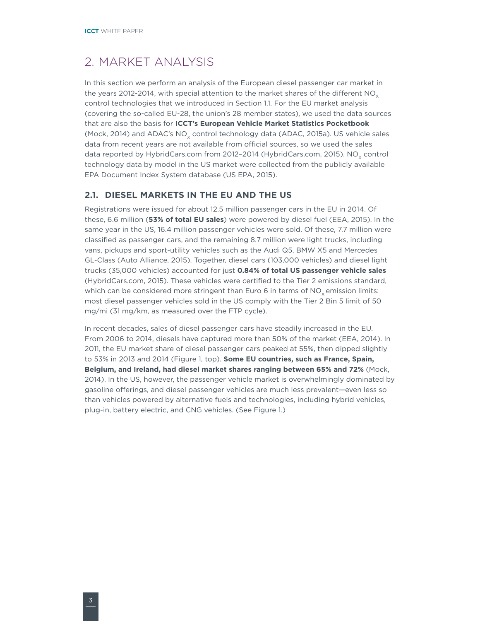# <span id="page-9-0"></span>2. Market analysis

In this section we perform an analysis of the European diesel passenger car market in the years 2012-2014, with special attention to the market shares of the different  $NO<sub>x</sub>$ control technologies that we introduced in Section [1.1](#page-7-1). For the EU market analysis (covering the so-called EU-28, the union's 28 member states), we used the data sources that are also the basis for **ICCT's European Vehicle Market Statistics Pocketbook** (Mock, 2014) and ADAC's NO<sub>v</sub> control technology data (ADAC, 2015a). US vehicle sales data from recent years are not available from official sources, so we used the sales data reported by HybridCars.com from 2012-2014 (HybridCars.com, 2015). NO<sub>v</sub> control technology data by model in the US market were collected from the publicly available EPA Document Index System database (US EPA, 2015).

#### **2.1. Diesel markets in the EU and the US**

Registrations were issued for about 12.5 million passenger cars in the EU in 2014. Of these, 6.6 million (**53% of total EU sales**) were powered by diesel fuel (EEA, 2015). In the same year in the US, 16.4 million passenger vehicles were sold. Of these, 7.7 million were classified as passenger cars, and the remaining 8.7 million were light trucks, including vans, pickups and sport-utility vehicles such as the Audi Q5, BMW X5 and Mercedes GL-Class (Auto Alliance, 2015). Together, diesel cars (103,000 vehicles) and diesel light trucks (35,000 vehicles) accounted for just **0.84% of total US passenger vehicle sales**  (HybridCars.com, 2015). These vehicles were certified to the Tier 2 emissions standard, which can be considered more stringent than Euro 6 in terms of  $NO<sub>v</sub>$  emission limits: most diesel passenger vehicles sold in the US comply with the Tier 2 Bin 5 limit of 50 mg/mi (31 mg/km, as measured over the FTP cycle).

In recent decades, sales of diesel passenger cars have steadily increased in the EU. From 2006 to 2014, diesels have captured more than 50% of the market (EEA, 2014). In 2011, the EU market share of diesel passenger cars peaked at 55%, then dipped slightly to 53% in 2013 and 2014 (Figure 1, top). **Some EU countries, such as France, Spain, Belgium, and Ireland, had diesel market shares ranging between 65% and 72%** (Mock, 2014). In the US, however, the passenger vehicle market is overwhelmingly dominated by gasoline offerings, and diesel passenger vehicles are much less prevalent—even less so than vehicles powered by alternative fuels and technologies, including hybrid vehicles, plug-in, battery electric, and CNG vehicles. (See Figure 1.)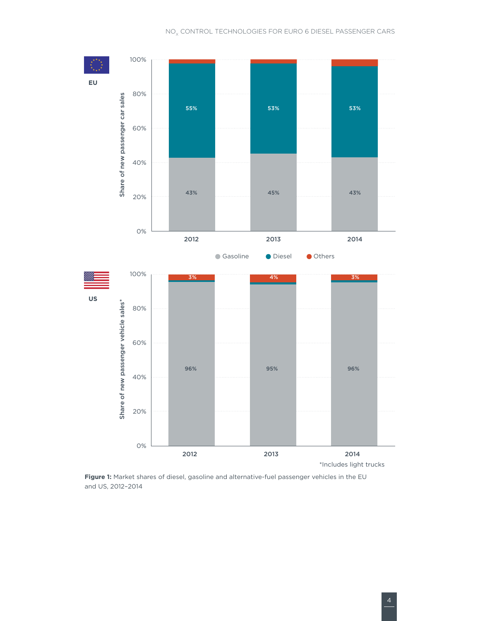

**Figure 1:** Market shares of diesel, gasoline and alternative-fuel passenger vehicles in the EU and US, 2012–2014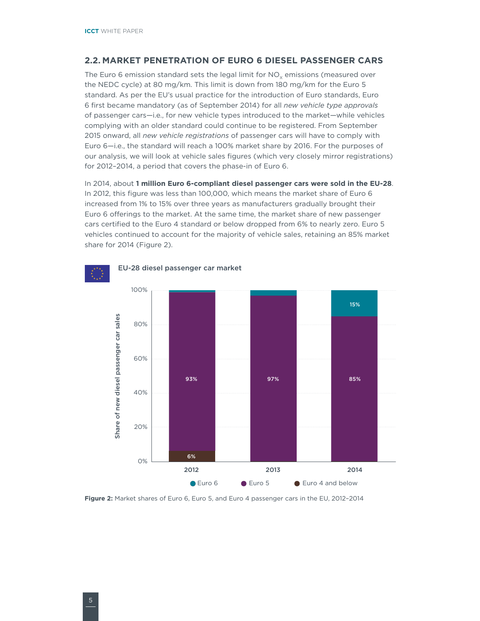#### <span id="page-11-0"></span>**2.2. Market penetration of Euro 6 diesel passenger cars**

The Euro 6 emission standard sets the legal limit for  $NO<sub>y</sub>$  emissions (measured over the NEDC cycle) at 80 mg/km. This limit is down from 180 mg/km for the Euro 5 standard. As per the EU's usual practice for the introduction of Euro standards, Euro 6 first became mandatory (as of September 2014) for all *new vehicle type approvals* of passenger cars—i.e., for new vehicle types introduced to the market—while vehicles complying with an older standard could continue to be registered. From September 2015 onward, all *new vehicle registrations* of passenger cars will have to comply with Euro 6—i.e., the standard will reach a 100% market share by 2016. For the purposes of our analysis, we will look at vehicle sales figures (which very closely mirror registrations) for 2012–2014, a period that covers the phase-in of Euro 6.

In 2014, about **1 million Euro 6-compliant diesel passenger cars were sold in the EU-28**. In 2012, this figure was less than 100,000, which means the market share of Euro 6 increased from 1% to 15% over three years as manufacturers gradually brought their Euro 6 offerings to the market. At the same time, the market share of new passenger cars certified to the Euro 4 standard or below dropped from 6% to nearly zero. Euro 5 vehicles continued to account for the majority of vehicle sales, retaining an 85% market share for 2014 (Figure 2).



**Figure 2:** Market shares of Euro 6, Euro 5, and Euro 4 passenger cars in the EU, 2012–2014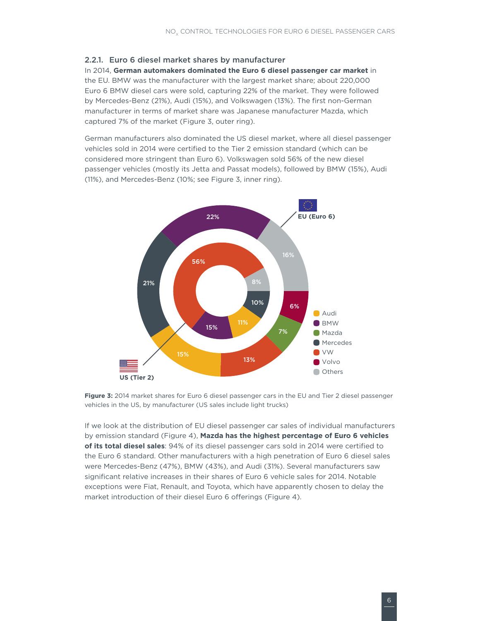#### <span id="page-12-0"></span>2.2.1. Euro 6 diesel market shares by manufacturer

In 2014, **German automakers dominated the Euro 6 diesel passenger car market** in the EU. BMW was the manufacturer with the largest market share; about 220,000 Euro 6 BMW diesel cars were sold, capturing 22% of the market. They were followed by Mercedes-Benz (21%), Audi (15%), and Volkswagen (13%). The first non-German manufacturer in terms of market share was Japanese manufacturer Mazda, which captured 7% of the market (Figure 3, outer ring).

German manufacturers also dominated the US diesel market, where all diesel passenger vehicles sold in 2014 were certified to the Tier 2 emission standard (which can be considered more stringent than Euro 6). Volkswagen sold 56% of the new diesel passenger vehicles (mostly its Jetta and Passat models), followed by BMW (15%), Audi (11%), and Mercedes-Benz (10%; see Figure 3, inner ring).



**Figure 3:** 2014 market shares for Euro 6 diesel passenger cars in the EU and Tier 2 diesel passenger vehicles in the US, by manufacturer (US sales include light trucks)

If we look at the distribution of EU diesel passenger car sales of individual manufacturers by emission standard (Figure 4), **Mazda has the highest percentage of Euro 6 vehicles of its total diesel sales**: 94% of its diesel passenger cars sold in 2014 were certified to the Euro 6 standard. Other manufacturers with a high penetration of Euro 6 diesel sales were Mercedes-Benz (47%), BMW (43%), and Audi (31%). Several manufacturers saw significant relative increases in their shares of Euro 6 vehicle sales for 2014. Notable exceptions were Fiat, Renault, and Toyota, which have apparently chosen to delay the market introduction of their diesel Euro 6 offerings (Figure 4).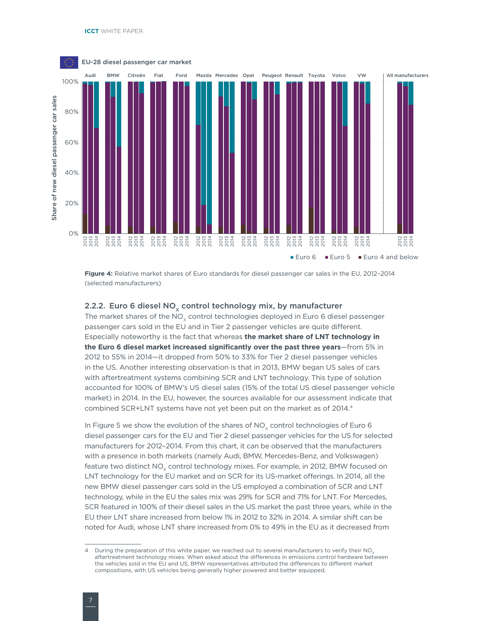<span id="page-13-0"></span>

**Figure 4:** Relative market shares of Euro standards for diesel passenger car sales in the EU, 2012–2014 (selected manufacturers)

#### 2.2.2. Euro 6 diesel  $NO<sub>x</sub>$  control technology mix, by manufacturer

The market shares of the  $NO<sub>v</sub>$  control technologies deployed in Euro 6 diesel passenger passenger cars sold in the EU and in Tier 2 passenger vehicles are quite different. Especially noteworthy is the fact that whereas **the market share of LNT technology in the Euro 6 diesel market increased significantly over the past three years**—from 5% in 2012 to 55% in 2014—it dropped from 50% to 33% for Tier 2 diesel passenger vehicles in the US. Another interesting observation is that in 2013, BMW began US sales of cars with aftertreatment systems combining SCR and LNT technology. This type of solution accounted for 100% of BMW's US diesel sales (15% of the total US diesel passenger vehicle market) in 2014. In the EU, however, the sources available for our assessment indicate that combined SCR+LNT systems have not yet been put on the market as of 2014.<sup>4</sup>

In Figure 5 we show the evolution of the shares of  $NO<sub>x</sub>$  control technologies of Euro 6 diesel passenger cars for the EU and Tier 2 diesel passenger vehicles for the US for selected manufacturers for 2012–2014. From this chart, it can be observed that the manufacturers with a presence in both markets (namely Audi, BMW, Mercedes-Benz, and Volkswagen) feature two distinct NO<sub>y</sub> control technology mixes. For example, in 2012, BMW focused on LNT technology for the EU market and on SCR for its US-market offerings. In 2014, all the new BMW diesel passenger cars sold in the US employed a combination of SCR and LNT technology, while in the EU the sales mix was 29% for SCR and 71% for LNT. For Mercedes, SCR featured in 100% of their diesel sales in the US market the past three years, while in the EU their LNT share increased from below 1% in 2012 to 32% in 2014. A similar shift can be noted for Audi, whose LNT share increased from 0% to 49% in the EU as it decreased from

<sup>4</sup> During the preparation of this white paper, we reached out to several manufacturers to verify their NO<sub>3</sub> aftertreatment technology mixes. When asked about the differences in emissions control hardware between the vehicles sold in the EU and US, BMW representatives attributed the differences to different market compositions, with US vehicles being generally higher powered and better equipped.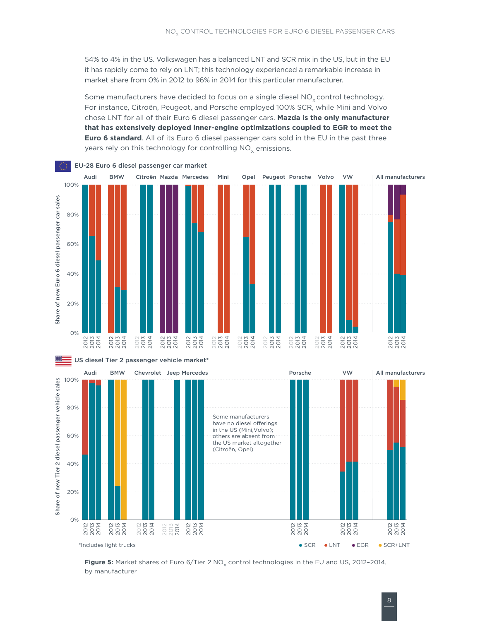54% to 4% in the US. Volkswagen has a balanced LNT and SCR mix in the US, but in the EU it has rapidly come to rely on LNT; this technology experienced a remarkable increase in market share from 0% in 2012 to 96% in 2014 for this particular manufacturer.

Some manufacturers have decided to focus on a single diesel  $NO<sub>x</sub>$  control technology. For instance, Citroën, Peugeot, and Porsche employed 100% SCR, while Mini and Volvo chose LNT for all of their Euro 6 diesel passenger cars. **Mazda is the only manufacturer that has extensively deployed inner-engine optimizations coupled to EGR to meet the Euro 6 standard**. All of its Euro 6 diesel passenger cars sold in the EU in the past three years rely on this technology for controlling  $NO<sub>x</sub>$  emissions.



\*Includes light trucks

2014<br>2013<br>2014

2013 2014

2014<br>2013<br>2014

2014<br>2013<br>2014

**Figure 5:** Market shares of Euro 6/Tier 2 NO<sub>x</sub> control technologies in the EU and US, 2012-2014, by manufacturer

2014<br>2013<br>2014

2014<br>2013<br>2014

2014<br>2013<br>2014

2014<br>2013<br>2014

● SCR ● LNT ● EGR ● SCR+LNT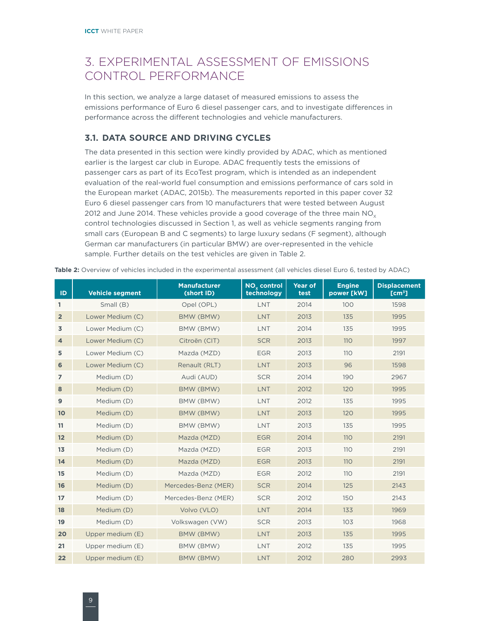# <span id="page-15-0"></span>3. Experimental assessment of emissions control performance

In this section, we analyze a large dataset of measured emissions to assess the emissions performance of Euro 6 diesel passenger cars, and to investigate differences in performance across the different technologies and vehicle manufacturers.

#### **3.1. Data source and driving cycles**

The data presented in this section were kindly provided by ADAC, which as mentioned earlier is the largest car club in Europe. ADAC frequently tests the emissions of passenger cars as part of its EcoTest program, which is intended as an independent evaluation of the real-world fuel consumption and emissions performance of cars sold in the European market (ADAC, 2015b). The measurements reported in this paper cover 32 Euro 6 diesel passenger cars from 10 manufacturers that were tested between August 2012 and June 2014. These vehicles provide a good coverage of the three main  $NO<sub>x</sub>$ control technologies discussed in Section [1,](#page-7-2) as well as vehicle segments ranging from small cars (European B and C segments) to large luxury sedans (F segment), although German car manufacturers (in particular BMW) are over-represented in the vehicle sample. Further details on the test vehicles are given in Table 2.

| ID             | <b>Vehicle segment</b> | <b>Manufacturer</b><br>(short ID) | NO <sub>v</sub> control<br>technology | Year of<br>test | <b>Engine</b><br>power [kW] | <b>Displacement</b><br>[cm <sup>3</sup> ] |
|----------------|------------------------|-----------------------------------|---------------------------------------|-----------------|-----------------------------|-------------------------------------------|
| $\mathbf{1}$   | Small (B)              | Opel (OPL)                        | <b>LNT</b>                            | 2014            | 100                         | 1598                                      |
| $\overline{2}$ | Lower Medium (C)       | BMW (BMW)                         | LNT                                   | 2013            | 135                         | 1995                                      |
| 3              | Lower Medium (C)       | BMW (BMW)                         | <b>LNT</b>                            | 2014            | 135                         | 1995                                      |
| $\overline{4}$ | Lower Medium (C)       | Citroën (CIT)                     | <b>SCR</b>                            | 2013            | 110                         | 1997                                      |
| 5              | Lower Medium (C)       | Mazda (MZD)                       | <b>EGR</b>                            | 2013            | 110                         | 2191                                      |
| 6              | Lower Medium (C)       | Renault (RLT)                     | <b>LNT</b>                            | 2013            | 96                          | 1598                                      |
| $\overline{7}$ | Medium (D)             | Audi (AUD)                        | <b>SCR</b>                            | 2014            | 190                         | 2967                                      |
| 8              | Medium (D)             | BMW (BMW)                         | <b>LNT</b>                            | 2012            | 120                         | 1995                                      |
| 9              | Medium (D)             | BMW (BMW)                         | <b>LNT</b>                            | 2012            | 135                         | 1995                                      |
| 10             | Medium (D)             | BMW (BMW)                         | LNT                                   | 2013            | 120                         | 1995                                      |
| 11             | Medium (D)             | BMW (BMW)                         | <b>LNT</b>                            | 2013            | 135                         | 1995                                      |
| 12             | Medium (D)             | Mazda (MZD)                       | <b>EGR</b>                            | 2014            | 110                         | 2191                                      |
| 13             | Medium (D)             | Mazda (MZD)                       | <b>EGR</b>                            | 2013            | 110                         | 2191                                      |
| 14             | Medium (D)             | Mazda (MZD)                       | <b>EGR</b>                            | 2013            | 110                         | 2191                                      |
| 15             | Medium (D)             | Mazda (MZD)                       | <b>EGR</b>                            | 2012            | 110                         | 2191                                      |
| 16             | Medium (D)             | Mercedes-Benz (MER)               | <b>SCR</b>                            | 2014            | 125                         | 2143                                      |
| 17             | Medium (D)             | Mercedes-Benz (MER)               | <b>SCR</b>                            | 2012            | 150                         | 2143                                      |
| 18             | Medium (D)             | Volvo (VLO)                       | LNT                                   | 2014            | 133                         | 1969                                      |
| 19             | Medium (D)             | Volkswagen (VW)                   | <b>SCR</b>                            | 2013            | 103                         | 1968                                      |
| 20             | Upper medium (E)       | BMW (BMW)                         | <b>LNT</b>                            | 2013            | 135                         | 1995                                      |
| 21             | Upper medium (E)       | BMW (BMW)                         | LNT                                   | 2012            | 135                         | 1995                                      |
| 22             | Upper medium (E)       | BMW (BMW)                         | <b>LNT</b>                            | 2012            | 280                         | 2993                                      |

**Table 2:** Overview of vehicles included in the experimental assessment (all vehicles diesel Euro 6, tested by ADAC)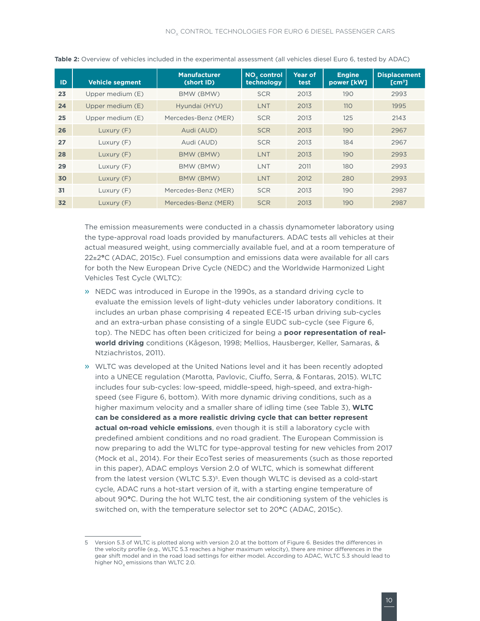| <b>ID</b> | <b>Vehicle segment</b> | <b>Manufacturer</b><br>(short ID) | NO <sub>v</sub> control<br>technology | Year of<br>test | <b>Engine</b><br>power [kW] | <b>Displacement</b><br>[cm <sup>3</sup> ] |
|-----------|------------------------|-----------------------------------|---------------------------------------|-----------------|-----------------------------|-------------------------------------------|
| 23        | Upper medium (E)       | BMW (BMW)                         | <b>SCR</b>                            | 2013            | 190                         | 2993                                      |
| 24        | Upper medium (E)       | Hyundai (HYU)                     | <b>LNT</b>                            | 2013            | <b>110</b>                  | 1995                                      |
| 25        | Upper medium (E)       | Mercedes-Benz (MER)               | <b>SCR</b>                            | 2013            | 125                         | 2143                                      |
| 26        | Luxury (F)             | Audi (AUD)                        | <b>SCR</b>                            | 2013            | 190                         | 2967                                      |
| 27        | Luxury (F)             | Audi (AUD)                        | <b>SCR</b>                            | 2013            | 184                         | 2967                                      |
| 28        | Luxury (F)             | BMW (BMW)                         | <b>LNT</b>                            | 2013            | 190                         | 2993                                      |
| 29        | Luxury (F)             | BMW (BMW)                         | LNT                                   | 2011            | 180                         | 2993                                      |
| 30        | Luxury (F)             | BMW (BMW)                         | LNT                                   | 2012            | 280                         | 2993                                      |
| 31        | Luxury (F)             | Mercedes-Benz (MER)               | <b>SCR</b>                            | 2013            | 190                         | 2987                                      |
| 32        | Luxury $(F)$           | Mercedes-Benz (MER)               | <b>SCR</b>                            | 2013            | 190                         | 2987                                      |

**Table 2:** Overview of vehicles included in the experimental assessment (all vehicles diesel Euro 6, tested by ADAC)

The emission measurements were conducted in a chassis dynamometer laboratory using the type-approval road loads provided by manufacturers. ADAC tests all vehicles at their actual measured weight, using commercially available fuel, and at a room temperature of 22±2**°**C (ADAC, 2015c). Fuel consumption and emissions data were available for all cars for both the New European Drive Cycle (NEDC) and the Worldwide Harmonized Light Vehicles Test Cycle (WLTC):

- » NEDC was introduced in Europe in the 1990s, as a standard driving cycle to evaluate the emission levels of light-duty vehicles under laboratory conditions. It includes an urban phase comprising 4 repeated ECE-15 urban driving sub-cycles and an extra-urban phase consisting of a single EUDC sub-cycle (see Figure 6, top). The NEDC has often been criticized for being a **poor representation of realworld driving** conditions (Kågeson, 1998; Mellios, Hausberger, Keller, Samaras, & Ntziachristos, 2011).
- » WLTC was developed at the United Nations level and it has been recently adopted into a UNECE regulation (Marotta, Pavlovic, Ciuffo, Serra, & Fontaras, 2015). WLTC includes four sub-cycles: low-speed, middle-speed, high-speed, and extra-highspeed (see Figure 6, bottom). With more dynamic driving conditions, such as a higher maximum velocity and a smaller share of idling time (see Table 3), **WLTC can be considered as a more realistic driving cycle that can better represent actual on-road vehicle emissions**, even though it is still a laboratory cycle with predefined ambient conditions and no road gradient. The European Commission is now preparing to add the WLTC for type-approval testing for new vehicles from 2017 (Mock et al., 2014). For their EcoTest series of measurements (such as those reported in this paper), ADAC employs Version 2.0 of WLTC, which is somewhat different from the latest version (WLTC 5.3)<sup>5</sup>. Even though WLTC is devised as a cold-start cycle, ADAC runs a hot-start version of it, with a starting engine temperature of about 90**°**C. During the hot WLTC test, the air conditioning system of the vehicles is switched on, with the temperature selector set to 20**°**C (ADAC, 2015c).

<sup>5</sup> Version 5.3 of WLTC is plotted along with version 2.0 at the bottom of Figure 6. Besides the differences in the velocity profile (e.g., WLTC 5.3 reaches a higher maximum velocity), there are minor differences in the gear shift model and in the road load settings for either model. According to ADAC, WLTC 5.3 should lead to higher NO<sub>v</sub> emissions than WLTC 2.0.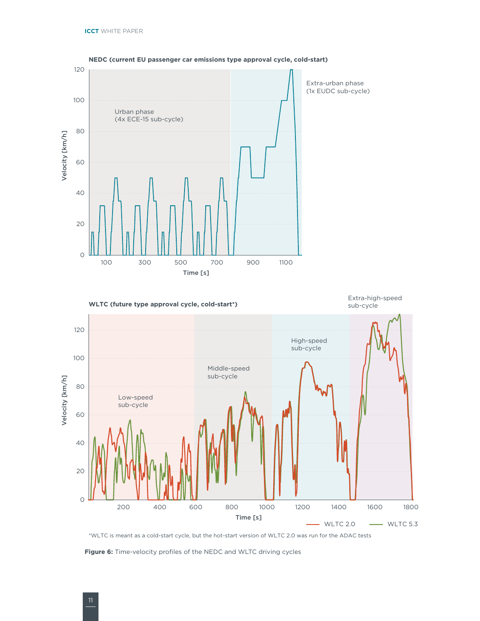

#### **NEDC (current EU passenger car emissions type approval cycle, cold-start)**



\*WLTC is meant as a cold-start cycle, but the hot-start version of WLTC 2.0 was run for the ADAC tests

**Figure 6:** Time-velocity profiles of the NEDC and WLTC driving cycles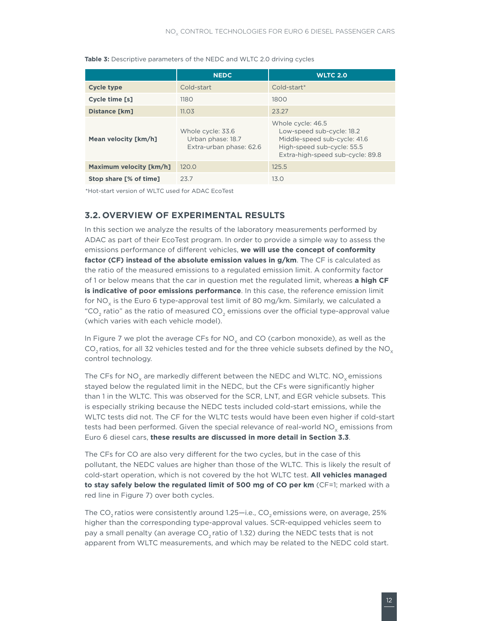|                         | <b>NEDC</b>                                                       | <b>WLTC 2.0</b>                                                                                                                                  |
|-------------------------|-------------------------------------------------------------------|--------------------------------------------------------------------------------------------------------------------------------------------------|
| <b>Cycle type</b>       | Cold-start                                                        | $Cold-start*$                                                                                                                                    |
| Cycle time [s]          | 1180                                                              | 1800                                                                                                                                             |
| <b>Distance [km]</b>    | 11.03                                                             | 23.27                                                                                                                                            |
| Mean velocity [km/h]    | Whole cycle: 33.6<br>Urban phase: 18.7<br>Extra-urban phase: 62.6 | Whole cycle: 46.5<br>Low-speed sub-cycle: 18.2<br>Middle-speed sub-cycle: 41.6<br>High-speed sub-cycle: 55.5<br>Extra-high-speed sub-cycle: 89.8 |
| Maximum velocity [km/h] | 120.0                                                             | 125.5                                                                                                                                            |
| Stop share [% of time]  | 23.7                                                              | 13.0                                                                                                                                             |

#### <span id="page-18-0"></span>**Table 3:** Descriptive parameters of the NEDC and WLTC 2.0 driving cycles

\*Hot-start version of WLTC used for ADAC EcoTest

#### **3.2. Overview of experimental results**

In this section we analyze the results of the laboratory measurements performed by ADAC as part of their EcoTest program. In order to provide a simple way to assess the emissions performance of different vehicles, **we will use the concept of conformity factor (CF) instead of the absolute emission values in g/km**. The CF is calculated as the ratio of the measured emissions to a regulated emission limit. A conformity factor of 1 or below means that the car in question met the regulated limit, whereas **a high CF is indicative of poor emissions performance**. In this case, the reference emission limit for NO<sub>x</sub> is the Euro 6 type-approval test limit of 80 mg/km. Similarly, we calculated a "CO<sub>2</sub> ratio" as the ratio of measured CO<sub>2</sub> emissions over the official type-approval value (which varies with each vehicle model).

In Figure 7 we plot the average CFs for  $NO_x$  and CO (carbon monoxide), as well as the CO<sub>2</sub> ratios, for all 32 vehicles tested and for the three vehicle subsets defined by the NO<sub>x</sub> control technology.

The CFs for NO<sub>y</sub> are markedly different between the NEDC and WLTC. NO<sub>y</sub> emissions stayed below the regulated limit in the NEDC, but the CFs were significantly higher than 1 in the WLTC. This was observed for the SCR, LNT, and EGR vehicle subsets. This is especially striking because the NEDC tests included cold-start emissions, while the WLTC tests did not. The CF for the WLTC tests would have been even higher if cold-start tests had been performed. Given the special relevance of real-world  $\overline{\text{NO}_{\text{x}}}$  emissions from Euro 6 diesel cars, **these results are discussed in more detail in Section 3.3**.

The CFs for CO are also very different for the two cycles, but in the case of this pollutant, the NEDC values are higher than those of the WLTC. This is likely the result of cold-start operation, which is not covered by the hot WLTC test. **All vehicles managed to stay safely below the regulated limit of 500 mg of CO per km** (CF=1; marked with a red line in Figure 7) over both cycles.

The CO<sub>2</sub> ratios were consistently around 1.25—i.e., CO<sub>2</sub> emissions were, on average, 25% higher than the corresponding type-approval values. SCR-equipped vehicles seem to pay a small penalty (an average  $CO<sub>2</sub>$  ratio of 1.32) during the NEDC tests that is not apparent from WLTC measurements, and which may be related to the NEDC cold start.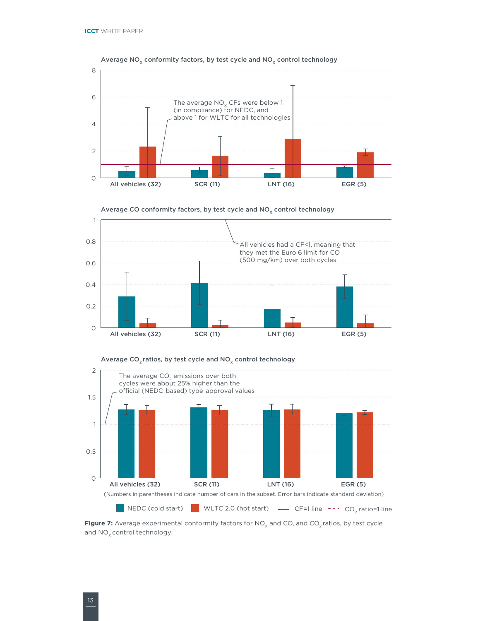











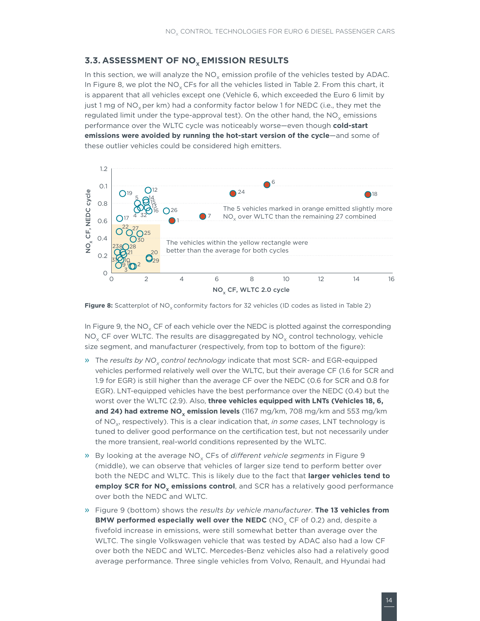#### <span id="page-20-0"></span>**3.3. ASSESSMENT OF NO<sub>x</sub> EMISSION RESULTS**

In this section, we will analyze the  $NO<sub>x</sub>$  emission profile of the vehicles tested by ADAC. In Figure 8, we plot the NO<sub>v</sub> CFs for all the vehicles listed in Table 2. From this chart, it is apparent that all vehicles except one (Vehicle 6, which exceeded the Euro 6 limit by just 1 mg of NO<sub>y</sub> per km) had a conformity factor below 1 for NEDC (i.e., they met the regulated limit under the type-approval test). On the other hand, the  $NO<sub>v</sub>$  emissions performance over the WLTC cycle was noticeably worse—even though **cold-start emissions were avoided by running the hot-start version of the cycle**—and some of these outlier vehicles could be considered high emitters.



**Figure 8:** Scatterplot of NO<sub>y</sub> conformity factors for 32 vehicles (ID codes as listed in Table 2)

In Figure 9, the  $NO<sub>x</sub>$  CF of each vehicle over the NEDC is plotted against the corresponding  $NO<sub>x</sub>$  CF over WLTC. The results are disaggregated by  $NO<sub>x</sub>$  control technology, vehicle size segment, and manufacturer (respectively, from top to bottom of the figure):

- » The results by NO<sub>y</sub> control technology indicate that most SCR- and EGR-equipped vehicles performed relatively well over the WLTC, but their average CF (1.6 for SCR and 1.9 for EGR) is still higher than the average CF over the NEDC (0.6 for SCR and 0.8 for EGR). LNT-equipped vehicles have the best performance over the NEDC (0.4) but the worst over the WLTC (2.9). Also, **three vehicles equipped with LNTs (Vehicles 18, 6, and 24) had extreme NO<sub>y</sub> emission levels** (1167 mg/km, 708 mg/km and 553 mg/km of NO<sub>y</sub>, respectively). This is a clear indication that, *in some cases*, LNT technology is tuned to deliver good performance on the certification test, but not necessarily under the more transient, real-world conditions represented by the WLTC.
- » By looking at the average NO<sub>x</sub> CFs of *different vehicle segments* in Figure 9 (middle), we can observe that vehicles of larger size tend to perform better over both the NEDC and WLTC. This is likely due to the fact that **larger vehicles tend to employ SCR for NO<sub>v</sub> emissions control**, and SCR has a relatively good performance over both the NEDC and WLTC.
- » Figure 9 (bottom) shows the *results by vehicle manufacturer*. **The 13 vehicles from BMW performed especially well over the NEDC** (NO<sub>v</sub> CF of 0.2) and, despite a fivefold increase in emissions, were still somewhat better than average over the WLTC. The single Volkswagen vehicle that was tested by ADAC also had a low CF over both the NEDC and WLTC. Mercedes-Benz vehicles also had a relatively good average performance. Three single vehicles from Volvo, Renault, and Hyundai had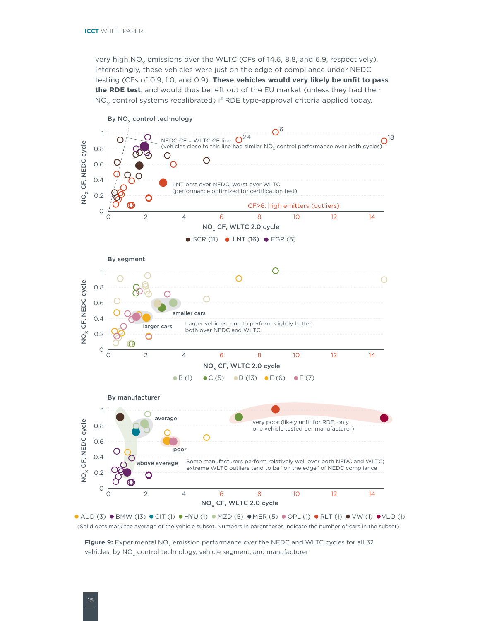very high  $NO<sub>x</sub>$  emissions over the WLTC (CFs of 14.6, 8.8, and 6.9, respectively). Interestingly, these vehicles were just on the edge of compliance under NEDC testing (CFs of 0.9, 1.0, and 0.9). **These vehicles would very likely be unfit to pass the RDE test**, and would thus be left out of the EU market (unless they had their  $NO<sub>x</sub>$  control systems recalibrated) if RDE type-approval criteria applied today.



(Solid dots mark the average of the vehicle subset. Numbers in parentheses indicate the number of cars in the subset)

Figure 9: Experimental NO<sub>v</sub> emission performance over the NEDC and WLTC cycles for all 32 vehicles, by  $NO_x$  control technology, vehicle segment, and manufacturer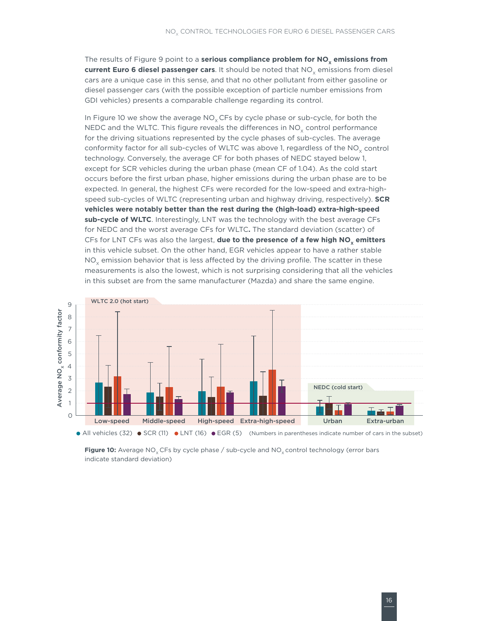The results of Figure 9 point to a **serious compliance problem for NO<sub>x</sub> emissions from current Euro 6 diesel passenger cars**. It should be noted that NO<sub>y</sub> emissions from diesel cars are a unique case in this sense, and that no other pollutant from either gasoline or diesel passenger cars (with the possible exception of particle number emissions from GDI vehicles) presents a comparable challenge regarding its control.

In Figure 10 we show the average  $NO<sub>v</sub>$  CFs by cycle phase or sub-cycle, for both the NEDC and the WLTC. This figure reveals the differences in  $NO<sub>x</sub>$  control performance for the driving situations represented by the cycle phases of sub-cycles. The average conformity factor for all sub-cycles of WLTC was above 1, regardless of the  $NO<sub>v</sub>$  control technology. Conversely, the average CF for both phases of NEDC stayed below 1, except for SCR vehicles during the urban phase (mean CF of 1.04). As the cold start occurs before the first urban phase, higher emissions during the urban phase are to be expected. In general, the highest CFs were recorded for the low-speed and extra-highspeed sub-cycles of WLTC (representing urban and highway driving, respectively). **SCR vehicles were notably better than the rest during the (high-load) extra-high-speed sub-cycle of WLTC**. Interestingly, LNT was the technology with the best average CFs for NEDC and the worst average CFs for WLTC**.** The standard deviation (scatter) of CFs for LNT CFs was also the largest, **due to the presence of a few high NO**<sub>x</sub> emitters in this vehicle subset. On the other hand, EGR vehicles appear to have a rather stable NO<sub>y</sub> emission behavior that is less affected by the driving profile. The scatter in these measurements is also the lowest, which is not surprising considering that all the vehicles in this subset are from the same manufacturer (Mazda) and share the same engine.



**Figure 10:** Average NO<sub>x</sub> CFs by cycle phase / sub-cycle and NO<sub>x</sub> control technology (error bars indicate standard deviation)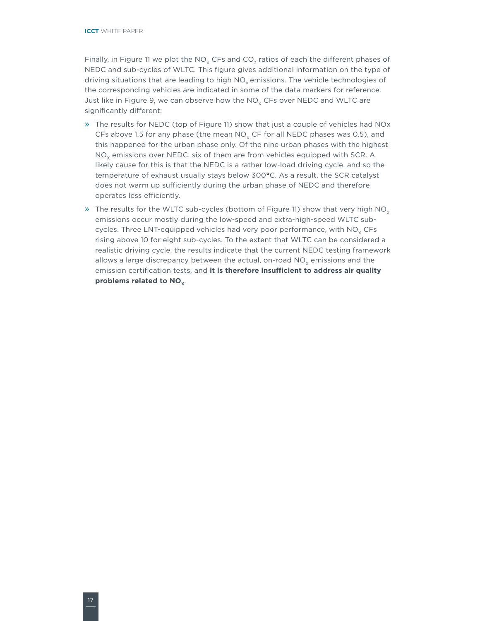Finally, in Figure 11 we plot the NO<sub>x</sub> CFs and CO<sub>2</sub> ratios of each the different phases of NEDC and sub-cycles of WLTC. This figure gives additional information on the type of driving situations that are leading to high  $NO<sub>x</sub>$  emissions. The vehicle technologies of the corresponding vehicles are indicated in some of the data markers for reference. Just like in Figure 9, we can observe how the  $NO<sub>v</sub>$  CFs over NEDC and WLTC are significantly different:

- » The results for NEDC (top of Figure 11) show that just a couple of vehicles had NOx CFs above 1.5 for any phase (the mean  $NO<sub>v</sub>$  CF for all NEDC phases was 0.5), and this happened for the urban phase only. Of the nine urban phases with the highest  $NO<sub>x</sub>$  emissions over NEDC, six of them are from vehicles equipped with SCR. A likely cause for this is that the NEDC is a rather low-load driving cycle, and so the temperature of exhaust usually stays below 300**°**C. As a result, the SCR catalyst does not warm up sufficiently during the urban phase of NEDC and therefore operates less efficiently.
- » The results for the WLTC sub-cycles (bottom of Figure 11) show that very high  $NO<sub>x</sub>$ emissions occur mostly during the low-speed and extra-high-speed WLTC subcycles. Three LNT-equipped vehicles had very poor performance, with  $NO<sub>x</sub> CFs$ rising above 10 for eight sub-cycles. To the extent that WLTC can be considered a realistic driving cycle, the results indicate that the current NEDC testing framework allows a large discrepancy between the actual, on-road  $NO<sub>v</sub>$  emissions and the emission certification tests, and **it is therefore insufficient to address air quality**  problems related to NO<sub>x</sub>.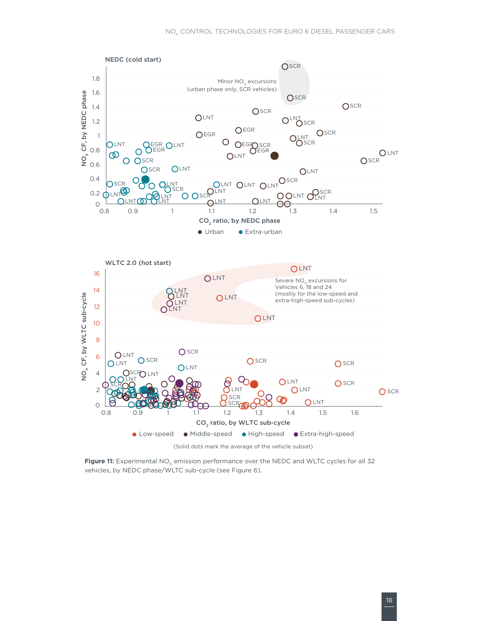

Figure 11: Experimental NO<sub>y</sub> emission performance over the NEDC and WLTC cycles for all 32 vehicles, by NEDC phase/WLTC sub-cycle (see Figure 6).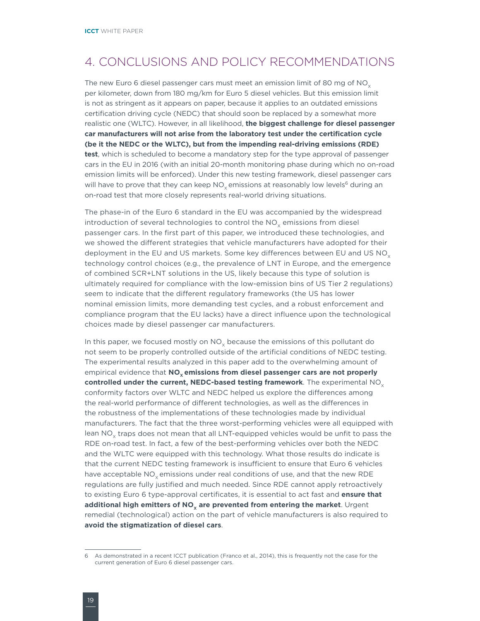## <span id="page-25-0"></span>4. Conclusions and policy recommendations

The new Euro 6 diesel passenger cars must meet an emission limit of 80 mg of  $NO<sub>x</sub>$ per kilometer, down from 180 mg/km for Euro 5 diesel vehicles. But this emission limit is not as stringent as it appears on paper, because it applies to an outdated emissions certification driving cycle (NEDC) that should soon be replaced by a somewhat more realistic one (WLTC). However, in all likelihood, **the biggest challenge for diesel passenger car manufacturers will not arise from the laboratory test under the certification cycle (be it the NEDC or the WLTC), but from the impending real-driving emissions (RDE) test**, which is scheduled to become a mandatory step for the type approval of passenger cars in the EU in 2016 (with an initial 20-month monitoring phase during which no on-road emission limits will be enforced). Under this new testing framework, diesel passenger cars will have to prove that they can keep  $NO<sub>x</sub>$  emissions at reasonably low levels<sup>6</sup> during an on-road test that more closely represents real-world driving situations.

The phase-in of the Euro 6 standard in the EU was accompanied by the widespread introduction of several technologies to control the  $NO<sub>x</sub>$  emissions from diesel passenger cars. In the first part of this paper, we introduced these technologies, and we showed the different strategies that vehicle manufacturers have adopted for their deployment in the EU and US markets. Some key differences between EU and US NO<sub>x</sub> technology control choices (e.g., the prevalence of LNT in Europe, and the emergence of combined SCR+LNT solutions in the US, likely because this type of solution is ultimately required for compliance with the low-emission bins of US Tier 2 regulations) seem to indicate that the different regulatory frameworks (the US has lower nominal emission limits, more demanding test cycles, and a robust enforcement and compliance program that the EU lacks) have a direct influence upon the technological choices made by diesel passenger car manufacturers.

In this paper, we focused mostly on NO<sub>v</sub> because the emissions of this pollutant do not seem to be properly controlled outside of the artificial conditions of NEDC testing. The experimental results analyzed in this paper add to the overwhelming amount of empirical evidence that **NO<sub>v</sub> emissions from diesel passenger cars are not properly controlled under the current, NEDC-based testing framework**. The experimental NO<sub>v</sub> conformity factors over WLTC and NEDC helped us explore the differences among the real-world performance of different technologies, as well as the differences in the robustness of the implementations of these technologies made by individual manufacturers. The fact that the three worst-performing vehicles were all equipped with lean NO<sub>v</sub> traps does not mean that all LNT-equipped vehicles would be unfit to pass the RDE on-road test. In fact, a few of the best-performing vehicles over both the NEDC and the WLTC were equipped with this technology. What those results do indicate is that the current NEDC testing framework is insufficient to ensure that Euro 6 vehicles have acceptable  $NO<sub>x</sub>$  emissions under real conditions of use, and that the new RDE regulations are fully justified and much needed. Since RDE cannot apply retroactively to existing Euro 6 type-approval certificates, it is essential to act fast and **ensure that additional high emitters of NO<sub>y</sub> are prevented from entering the market**. Urgent remedial (technological) action on the part of vehicle manufacturers is also required to **avoid the stigmatization of diesel cars**.

<sup>6</sup> As demonstrated in a recent ICCT publication (Franco et al., 2014), this is frequently not the case for the current generation of Euro 6 diesel passenger cars.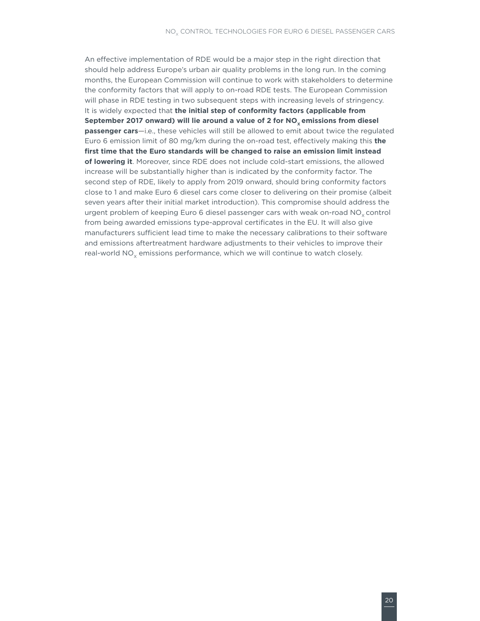An effective implementation of RDE would be a major step in the right direction that should help address Europe's urban air quality problems in the long run. In the coming months, the European Commission will continue to work with stakeholders to determine the conformity factors that will apply to on-road RDE tests. The European Commission will phase in RDE testing in two subsequent steps with increasing levels of stringency. It is widely expected that **the initial step of conformity factors (applicable from**  September 2017 onward) will lie around a value of 2 for NO<sub>y</sub> emissions from diesel **passenger cars**—i.e., these vehicles will still be allowed to emit about twice the regulated Euro 6 emission limit of 80 mg/km during the on-road test, effectively making this **the first time that the Euro standards will be changed to raise an emission limit instead of lowering it**. Moreover, since RDE does not include cold-start emissions, the allowed increase will be substantially higher than is indicated by the conformity factor. The second step of RDE, likely to apply from 2019 onward, should bring conformity factors close to 1 and make Euro 6 diesel cars come closer to delivering on their promise (albeit seven years after their initial market introduction). This compromise should address the urgent problem of keeping Euro 6 diesel passenger cars with weak on-road NO<sub>v</sub> control from being awarded emissions type-approval certificates in the EU. It will also give manufacturers sufficient lead time to make the necessary calibrations to their software and emissions aftertreatment hardware adjustments to their vehicles to improve their real-world NO<sub>y</sub> emissions performance, which we will continue to watch closely.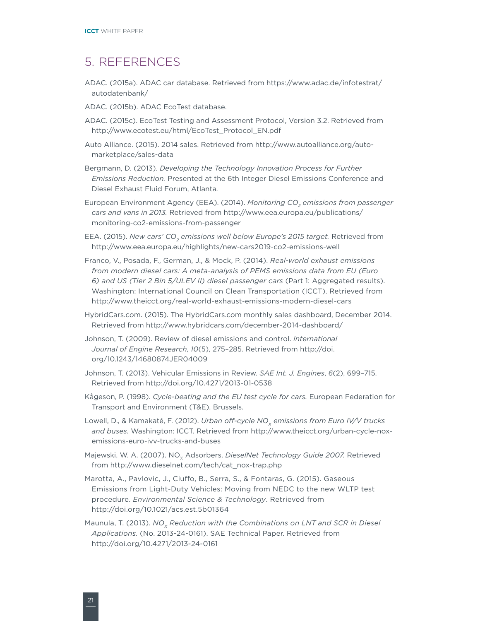### <span id="page-27-0"></span>5. References

- ADAC. (2015a). ADAC car database. Retrieved from [https://www.adac.de/infotestrat/](https://www.adac.de/infotestrat/autodatenbank/) [autodatenbank/](https://www.adac.de/infotestrat/autodatenbank/)
- ADAC. (2015b). ADAC EcoTest database.
- ADAC. (2015c). EcoTest Testing and Assessment Protocol, Version 3.2. Retrieved from [http://www.ecotest.eu/html/EcoTest\\_Protocol\\_EN.pdf](http://www.ecotest.eu/html/EcoTest_Protocol_EN.pdf)
- Auto Alliance. (2015). 2014 sales. Retrieved from [http://www.autoalliance.org/auto](http://www.autoalliance.org/auto-marketplace/sales-data)[marketplace/sales-data](http://www.autoalliance.org/auto-marketplace/sales-data)
- Bergmann, D. (2013). *Developing the Technology Innovation Process for Further Emissions Reduction.* Presented at the 6th Integer Diesel Emissions Conference and Diesel Exhaust Fluid Forum, Atlanta*.*
- European Environment Agency (EEA). (2014). *Monitoring CO<sub>2</sub> emissions from passenger cars and vans in 2013.* Retrieved from [http://www.eea.europa.eu/publications/](http://www.eea.europa.eu/publications/monitoring-co2-emissions-from-passenger) [monitoring-co2-emissions-from-passenger](http://www.eea.europa.eu/publications/monitoring-co2-emissions-from-passenger)
- EEA. (2015). *New cars' CO<sub>2</sub> emissions well below Europe's 2015 target.* Retrieved from <http://www.eea.europa.eu/highlights/new-cars2019-co2-emissions-well>
- Franco, V., Posada, F., German, J., & Mock, P. (2014). *Real-world exhaust emissions from modern diesel cars: A meta-analysis of PEMS emissions data from EU (Euro 6) and US (Tier 2 Bin 5/ULEV II) diesel passenger cars* (Part 1: Aggregated results). Washington: International Council on Clean Transportation (ICCT). Retrieved from <http://www.theicct.org/real-world-exhaust-emissions-modern-diesel-cars>
- HybridCars.com. (2015). The HybridCars.com monthly sales dashboard, December 2014. Retrieved from<http://www.hybridcars.com/december-2014-dashboard/>
- Johnson, T. (2009). Review of diesel emissions and control. *International Journal of Engine Research*, *10*(5), 275–285. Retrieved from [http://doi.](http://doi.org/10.1243/14680874JER04009) [org/10.1243/14680874JER04009](http://doi.org/10.1243/14680874JER04009)
- Johnson, T. (2013). Vehicular Emissions in Review. *SAE Int. J. Engines*, *6*(2), 699–715. Retrieved from<http://doi.org/10.4271/2013-01-0538>
- Kågeson, P. (1998). *Cycle-beating and the EU test cycle for cars.* European Federation for Transport and Environment (T&E), Brussels.
- Lowell, D., & Kamakaté, F. (2012). *Urban off-cycle NO<sub>v</sub> emissions from Euro IV/V trucks and buses.* Washington: ICCT. Retrieved from [http://www.theicct.org/urban-cycle-nox](http://www.theicct.org/urban-cycle-nox-emissions-euro-ivv-trucks-and-buses)[emissions-euro-ivv-trucks-and-buses](http://www.theicct.org/urban-cycle-nox-emissions-euro-ivv-trucks-and-buses)
- Majewski, W. A. (2007). NO<sub>v</sub> Adsorbers. *DieselNet Technology Guide 2007.* Retrieved from [http://www.dieselnet.com/tech/cat\\_nox-trap.php](http://www.dieselnet.com/tech/cat_nox-trap.php)
- Marotta, A., Pavlovic, J., Ciuffo, B., Serra, S., & Fontaras, G. (2015). Gaseous Emissions from Light-Duty Vehicles: Moving from NEDC to the new WLTP test procedure. *Environmental Science & Technology*. Retrieved from <http://doi.org/10.1021/acs.est.5b01364>
- Maunula, T. (2013). *NO<sub>x</sub> Reduction with the Combinations on LNT and SCR in Diesel Applications.* (No. 2013-24-0161). SAE Technical Paper. Retrieved from <http://doi.org/10.4271/2013-24-0161>